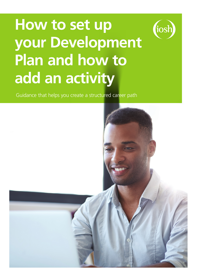# How to set up **your Development Plan and how to add an activity**

tiosh

Guidance that helps you create a structured career path

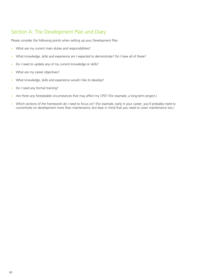# Section A: The Development Plan and Diary

Please consider the following points when setting up your Development Plan

- What are my current main duties and responsibilities?
- What knowledge, skills and experience am I expected to demonstrate? Do I have all of these?
- Do I need to update any of my current knowledge or skills?
- What are my career objectives?
- What knowledge, skills and experience would I like to develop?
- Do I need any formal training?
- Are there any foreseeable circumstances that may affect my CPD? (For example, a long-term project.)
- Which sections of the framework do I need to focus on? (For example, early in your career, you'll probably need to concentrate on development more than maintenance, but bear in mind that you need to cover maintenance too.)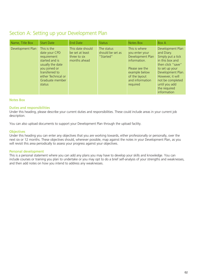# Section A: Setting up your Development Plan

| Name, Title Box  | <b>Start Date</b>                                                                                                                                                        | <b>End Date</b>                                                     | <b>Status</b>                               | Notes Box                                                                                                                                              | <b>Box A</b>                                                                                                                                                                                                               |
|------------------|--------------------------------------------------------------------------------------------------------------------------------------------------------------------------|---------------------------------------------------------------------|---------------------------------------------|--------------------------------------------------------------------------------------------------------------------------------------------------------|----------------------------------------------------------------------------------------------------------------------------------------------------------------------------------------------------------------------------|
| Development Plan | This is the<br>date your CPD<br>requirement<br>started and is<br>usually the date<br>you joined or<br>transferred to<br>either Technical or<br>Graduate member<br>status | This date should<br>be set at least<br>three to six<br>months ahead | The status<br>should be set as<br>"Started" | This is where<br>you enter your<br>Development Plan<br>information.<br>Please see the<br>example below<br>of the layout<br>and information<br>required | Development Plan<br>and Diary.<br>Simply put a tick<br>in this box and<br>then click "save"<br>to set up your<br>Development Plan.<br>However, it will<br>not be completed<br>until you add<br>the required<br>information |

# Notes Box

# Duties and responsibilities

Under this heading, please describe your current duties and responsibilities. These could include areas in your current job description.

You can also upload documents to support your Development Plan through the upload facility.

# **Objectives**

Under this heading you can enter any objectives that you are working towards, either professionally or personally, over the next six or 12 months. These objectives should, wherever possible, map against the notes in your Development Plan, as you will revisit this area periodically to assess your progress against your objectives.

# Personal development

This is a personal statement where you can add any plans you may have to develop your skills and knowledge. You can include courses or training you plan to undertake or you may opt to do a brief self-analysis of your strengths and weaknesses, and then add notes on how you intend to address any weaknesses.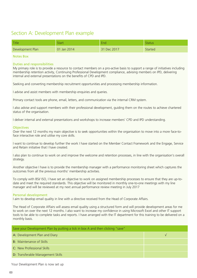# Section A: Development Plan example

| Title            | <b>Start</b> | End         | <b>Status</b> |
|------------------|--------------|-------------|---------------|
| Development Plan | 01 Jan 2014  | 31 Dec 2017 | Started       |

# Notes Box

## Duties and responsibilities

My primary role is to provide a resource to contact members on a pro-active basis to support a range of initiatives including membership retention activity, Continuing Professional Development compliance, advising members on IPD, delivering internal and external presentations on the benefits of CPD and IPD.

Seeking and converting membership recruitment opportunities and processing membership information.

I advise and assist members with membership enquiries and queries.

Primary contact tools are phone, email, letters, and communication via the internal CRM system.

I also advise and support members with their professional development, guiding them on the routes to achieve chartered status of the organisation.

I deliver internal and external presentations and workshops to increase members' CPD and IPD understanding.

#### **Objectives**

Over the next 12 months my main objective is to seek opportunities within the organisation to move into a more face-toface interactive role and utilise my core skills.

I want to continue to develop further the work I have started on the Member Contact Framework and the Engage, Service and Retain initiative that I have created.

I also plan to continue to work on and improve the welcome and retention processes, in line with the organisation's overall strategy.

Another objective I have is to provide the membership manager with a performance monitoring sheet which captures the outcomes from all the previous months' membership activities.

To comply with BSI/ ISO, I have set an objective to work on assigned membership processes to ensure that they are up-todate and meet the required standards. This objective will be monitored in monthly one-to-one meetings with my line manager and will be reviewed at my next annual performance review meeting in July 2017

### Personal development

I aim to develop email quality in line with a directive received from the Head of Corporate Affairs.

The Head of Corporate Affairs will assess email quality using a structured form and will provide development areas for me to work on over the next 12 months. I also want to increase my confidence in using Microsoft Excel and other IT support tools to be able to complete tasks and reports. I have arranged with the IT department for this training to be delivered on a monthly basis.

| Save your Development Plan by putting a tick in box A and then clicking "save" |  |  |  |
|--------------------------------------------------------------------------------|--|--|--|
| A: Development Plan and Diary                                                  |  |  |  |
| <b>B:</b> Maintenance of Skills                                                |  |  |  |
| C: New Professional Skills                                                     |  |  |  |
| <b>D: Transferable Management Skills</b>                                       |  |  |  |

Your Development Plan is now set up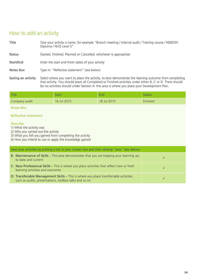# How to add an activity

Title Give your activity a name, for example "Branch meeting / Internal audit / Training course / NEBOSH Diploma / NVQ Level 5"

Status Started, Finished, Planned or Cancelled, whichever is appropriate

Start/End Enter the start and finish dates of your activity

Notes Box Type in: "Reflective statement" (see below)

Saving an activity Select where you want to place the activity, to best demonstrate the learning outcome from completing that activity. You should place all Completed or Finished activities under either B, C or D. There should be no activities should under Section A: this area is where you place your Development Plan.

| Title         | Start       | End         | Status   |
|---------------|-------------|-------------|----------|
| Company audit | 16 Jul 2015 | 18 Jul 2015 | Finished |

# Notes Box

# Reflective statement

# Describe

1) What the activity was

2) Why you carried out the activity

3) What you felt you gained from completing the activity

4) How you intend to use or apply the knowledge gained

| Save your activities by putting a tick in your chosen box and then clicking "save" (see below)                                                  |  |  |  |
|-------------------------------------------------------------------------------------------------------------------------------------------------|--|--|--|
| B: Maintenance of Skills - This area demonstrates that you are keeping your learning up-<br>to-date and current                                 |  |  |  |
| C: New Professional Skills - This is where you place activities that reflect new or fresh<br>learning activities and outcomes                   |  |  |  |
| D: Transferable Management Skills - This is where you place transferrable activities,<br>such as audits, presentations, toolbox talks and so on |  |  |  |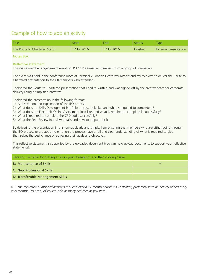# Example of how to add an activity

| Title                         | Start       | End         | Status   | <b>Type</b>           |
|-------------------------------|-------------|-------------|----------|-----------------------|
| The Route to Chartered Status | 17 Jul 2016 | 17 Jul 2016 | Finished | External presentation |

# Notes Box

## Reflective statement

This was a member engagement event on IPD / CPD aimed at members from a group of companies.

The event was held in the conference room at Terminal 2 London Heathrow Airport and my role was to deliver the Route to Chartered presentation to the 60 members who attended.

I delivered the Route to Chartered presentation that I had re-written and was signed-off by the creative team for corporate delivery using a simplified narrative.

I delivered the presentation in the following format:

- 1) A description and explanation of the IPD process
- 2) What does the Skills Development Portfolio process look like, and what is required to complete it?
- 3) What does the Electronic Online Assessment look like, and what is required to complete it successfully?
- 4) What is required to complete the CPD audit successfully?
- 5) What the Peer Review Interview entails and how to prepare for it

By delivering the presentation in this format clearly and simply, I am ensuring that members who are either going through the IPD process or are about to enrol on the process have a full and clear understanding of what is required to give themselves the best chance of achieving their goals and objectives.

This reflective statement is supported by the uploaded document (you can now upload documents to support your reflective statements).

| Save your activities by putting a tick in your chosen box and then clicking "save" |  |  |  |
|------------------------------------------------------------------------------------|--|--|--|
| <b>B: Maintenance of Skills</b>                                                    |  |  |  |
| C: New Professional Skills                                                         |  |  |  |
| D: Transferable Management Skills                                                  |  |  |  |

NB: *The minimum number of activities required over a 12-month period is six activities, preferably with an activity added every two months. You can, of course, add as many activities as you wish.*